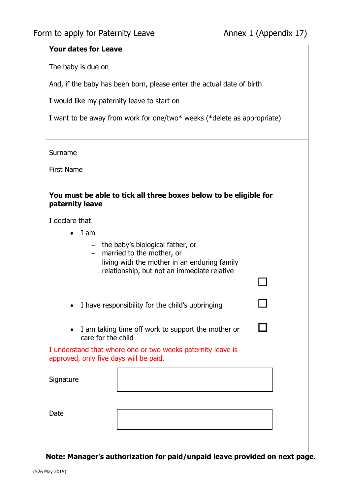П

П

## **Your dates for Leave**

The baby is due on

And, if the baby has been born, please enter the actual date of birth

I would like my paternity leave to start on

| I want to be away from work for one/two* weeks (*delete as appropriate) |  |
|-------------------------------------------------------------------------|--|
|-------------------------------------------------------------------------|--|

Surname

First Name

## **You must be able to tick all three boxes below to be eligible for paternity leave**

I declare that

- $\bullet$  I am
	- $-$  the baby's biological father, or
	- married to the mother, or
	- $-$  living with the mother in an enduring family relationship, but not an immediate relative

• I have responsibility for the child's upbringing

• I am taking time off work to support the mother or care for the child

I understand that where one or two weeks paternity leave is approved, only five days will be paid.

| Signature |  |
|-----------|--|
| Date      |  |

**Note: Manager's authorization for paid/unpaid leave provided on next page.**